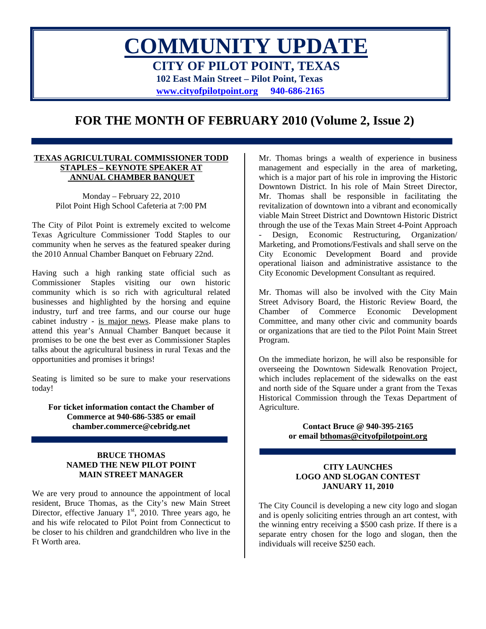# **COMMUNITY UPDATE CITY OF PILOT POINT, TEXAS 102 East Main Street – Pilot Point, Texas [www.cityofpilotpoint.org](http://www.cityofpilotpoint.org/) 940-686-2165**

# **FOR THE MONTH OF FEBRUARY 2010 (Volume 2, Issue 2)**

#### **TEXAS AGRICULTURAL COMMISSIONER TODD STAPLES – KEYNOTE SPEAKER AT ANNUAL CHAMBER BANQUET**

Monday – February 22, 2010 Pilot Point High School Cafeteria at 7:00 PM

The City of Pilot Point is extremely excited to welcome Texas Agriculture Commissioner Todd Staples to our community when he serves as the featured speaker during the 2010 Annual Chamber Banquet on February 22nd.

Having such a high ranking state official such as Commissioner Staples visiting our own historic community which is so rich with agricultural related businesses and highlighted by the horsing and equine industry, turf and tree farms, and our course our huge cabinet industry - is major news. Please make plans to attend this year's Annual Chamber Banquet because it promises to be one the best ever as Commissioner Staples talks about the agricultural business in rural Texas and the opportunities and promises it brings!

Seating is limited so be sure to make your reservations today!

**For ticket information contact the Chamber of Commerce at 940-686-5385 or email chamber.commerce@cebridg.net** 

#### **BRUCE THOMAS NAMED THE NEW PILOT POINT MAIN STREET MANAGER**

We are very proud to announce the appointment of local resident, Bruce Thomas, as the City's new Main Street Director, effective January  $1<sup>st</sup>$ , 2010. Three years ago, he and his wife relocated to Pilot Point from Connecticut to be closer to his children and grandchildren who live in the Ft Worth area.

Mr. Thomas brings a wealth of experience in business management and especially in the area of marketing, which is a major part of his role in improving the Historic Downtown District. In his role of Main Street Director, Mr. Thomas shall be responsible in facilitating the revitalization of downtown into a vibrant and economically viable Main Street District and Downtown Historic District through the use of the Texas Main Street 4-Point Approach Design, Economic Restructuring, Organization/ Marketing, and Promotions/Festivals and shall serve on the City Economic Development Board and provide operational liaison and administrative assistance to the City Economic Development Consultant as required.

Mr. Thomas will also be involved with the City Main Street Advisory Board, the Historic Review Board, the Chamber of Commerce Economic Development Committee, and many other civic and community boards or organizations that are tied to the Pilot Point Main Street Program.

On the immediate horizon, he will also be responsible for overseeing the Downtown Sidewalk Renovation Project, which includes replacement of the sidewalks on the east and north side of the Square under a grant from the Texas Historical Commission through the Texas Department of Agriculture.

> **Contact Bruce @ 940-395-2165 or email [bthomas@cityofpilotpoint.org](mailto:bthomas@cityofpilotpoint.org)**

#### **CITY LAUNCHES LOGO AND SLOGAN CONTEST JANUARY 11, 2010**

The City Council is developing a new city logo and slogan and is openly soliciting entries through an art contest, with the winning entry receiving a \$500 cash prize. If there is a separate entry chosen for the logo and slogan, then the individuals will receive \$250 each.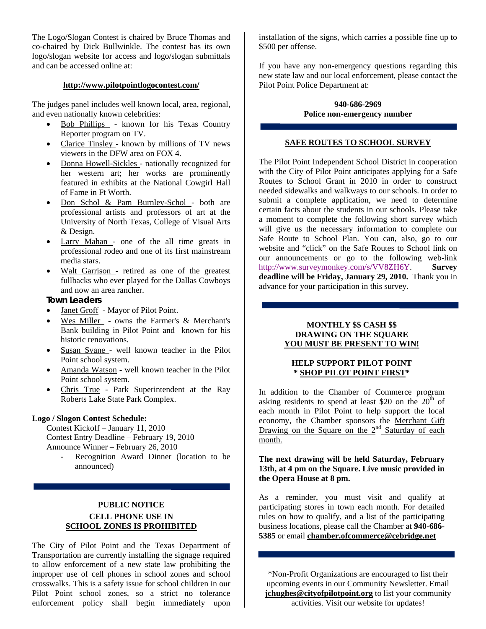The Logo/Slogan Contest is chaired by Bruce Thomas and co-chaired by Dick Bullwinkle. The contest has its own logo/slogan website for access and logo/slogan submittals and can be accessed online at:

#### **<http://www.pilotpointlogocontest.com/>**

The judges panel includes well known local, area, regional, and even nationally known celebrities:

- Bob Phillips known for his Texas Country Reporter program on TV.
- Clarice Tinsley known by millions of TV news viewers in the DFW area on FOX 4.
- Donna Howell-Sickles nationally recognized for her western art; her works are prominently featured in exhibits at the National Cowgirl Hall of Fame in Ft Worth.
- Don Schol & Pam Burnley-Schol both are professional artists and professors of art at the University of North Texas, College of Visual Arts & Design.
- Larry Mahan one of the all time greats in professional rodeo and one of its first mainstream media stars.
- Walt Garrison retired as one of the greatest fullbacks who ever played for the Dallas Cowboys and now an area rancher.

#### **Town Leaders**

- Janet Groff Mayor of Pilot Point.
- Wes Miller owns the Farmer's & Merchant's Bank building in Pilot Point and known for his historic renovations.
- Susan Svane well known teacher in the Pilot Point school system.
- Amanda Watson well known teacher in the Pilot Point school system.
- Chris True Park Superintendent at the Ray Roberts Lake State Park Complex.

#### **Logo / Slogon Contest Schedule:**

Contest Kickoff – January 11, 2010 Contest Entry Deadline – February 19, 2010 Announce Winner – February 26, 2010

Recognition Award Dinner (location to be announced)

# **PUBLIC NOTICE CELL PHONE USE IN SCHOOL ZONES IS PROHIBITED**

The City of Pilot Point and the Texas Department of Transportation are currently installing the signage required to allow enforcement of a new state law prohibiting the improper use of cell phones in school zones and school crosswalks. This is a safety issue for school children in our Pilot Point school zones, so a strict no tolerance enforcement policy shall begin immediately upon

installation of the signs, which carries a possible fine up to \$500 per offense.

If you have any non-emergency questions regarding this new state law and our local enforcement, please contact the Pilot Point Police Department at:

#### **940-686-2969 Police non-emergency number**

#### **SAFE ROUTES TO SCHOOL SURVEY**

The Pilot Point Independent School District in cooperation with the City of Pilot Point anticipates applying for a Safe Routes to School Grant in 2010 in order to construct needed sidewalks and walkways to our schools. In order to submit a complete application, we need to determine certain facts about the students in our schools. Please take a moment to complete the following short survey which will give us the necessary information to complete our Safe Route to School Plan. You can, also, go to our website and "click" on the Safe Routes to School link on our announcements or go to the following web-link http://www.surveymonkey.com/s/VV8ZH6Y. **[Survey](http://www.surveymonkey.com/s/VV8ZH6Y)  [deadline will be Friday, January 29, 2010.](http://www.surveymonkey.com/s/VV8ZH6Y)** Thank you in [advance for your participation in this survey.](http://www.surveymonkey.com/s/VV8ZH6Y) 

#### **MONTHLY \$\$ CASH \$\$ DRAWING ON THE SQUARE YOU MUST BE PRESENT TO WIN!**

#### **HELP SUPPORT PILOT POINT \* SHOP PILOT POINT FIRST\***

In addition to the Chamber of Commerce program asking residents to spend at least \$20 on the  $20<sup>th</sup>$  of each month in Pilot Point to help support the local economy, the Chamber sponsors the Merchant Gift Drawing on the Square on the  $2<sup>nd</sup>$  Saturday of each month.

#### **The next drawing will be held Saturday, February 13th, at 4 pm on the Square. Live music provided in the Opera House at 8 pm.**

As a reminder, you must visit and qualify at participating stores in town each month. For detailed rules on how to qualify, and a list of the participating business locations, please call the Chamber at **940-686- 5385** or email **[chamber.ofcommerce@cebridge.net](mailto:chamber.ofcommerce@cebridge.net)**

\*Non-Profit Organizations are encouraged to list their upcoming events in our Community Newsletter. Email **[jchughes@cityofpilotpoint.org](mailto:jchughes@cityofpilotpoint.org)** to list your community activities. Visit our website for updates!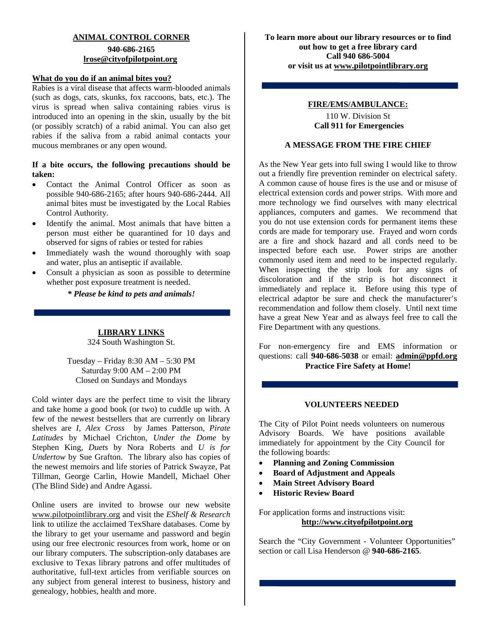## **ANIMAL CONTROL CORNER**

# **940-686-2165 [lrose@cityofpilotpoint.org](mailto:lrose@cityofpilotpoint.org)**

#### **What do you do if an animal bites you?**

Rabies is a viral disease that affects warm-blooded animals (such as dogs, cats, skunks, fox raccoons, bats, etc.). The virus is spread when saliva containing rabies virus is introduced into an opening in the skin, usually by the bit (or possibly scratch) of a rabid animal. You can also get rabies if the saliva from a rabid animal contacts your mucous membranes or any open wound.

#### **If a bite occurs, the following precautions should be taken:**

- Contact the Animal Control Officer as soon as possible 940-686-2165; after hours 940-686-2444. All animal bites must be investigated by the Local Rabies Control Authority.
- Identify the animal. Most animals that have bitten a person must either be quarantined for 10 days and observed for signs of rabies or tested for rabies
- Immediately wash the wound thoroughly with soap and water, plus an antiseptic if available.
- Consult a physician as soon as possible to determine whether post exposure treatment is needed.

*\* Please be kind to pets and animals!*

**LIBRARY LINKS** 324 South Washington St.

Tuesday – Friday 8:30 AM – 5:30 PM Saturday 9:00 AM – 2:00 PM Closed on Sundays and Mondays

Cold winter days are the perfect time to visit the library and take home a good book (or two) to cuddle up with. A few of the newest bestsellers that are currently on library shelves are *I, Alex Cross* by James Patterson, *Pirate Latitudes* by Michael Crichton, *Under the Dome* by Stephen King, *Duets* by Nora Roberts and *U is for Undertow* by Sue Grafton. The library also has copies of the newest memoirs and life stories of Patrick Swayze, Pat Tillman, George Carlin, Howie Mandell, Michael Oher (The Blind Side) and Andre Agassi.

Online users are invited to browse our new website [www.pilotpointlibrary.org](http://www.pilotpointlibrary.org/) and visit the *EShelf & Research* link to utilize the acclaimed TexShare databases. Come by the library to get your username and password and begin using our free electronic resources from work, home or on our library computers. The subscription-only databases are exclusive to Texas library patrons and offer multitudes of authoritative, full-text articles from verifiable sources on any subject from general interest to business, history and genealogy, hobbies, health and more.

**To learn more about our library resources or to find out how to get a free library card Call 940 686-5004 or visit us at [www.pilotpointlibrary.org](http://www.pilotpointlibrary.org/)**

#### **FIRE/EMS/AMBULANCE:**

110 W. Division St  **Call 911 for Emergencies**

#### **A MESSAGE FROM THE FIRE CHIEF**

As the New Year gets into full swing I would like to throw out a friendly fire prevention reminder on electrical safety. A common cause of house fires is the use and or misuse of electrical extension cords and power strips. With more and more technology we find ourselves with many electrical appliances, computers and games. We recommend that you do not use extension cords for permanent items these cords are made for temporary use. Frayed and worn cords are a fire and shock hazard and all cords need to be inspected before each use. Power strips are another commonly used item and need to be inspected regularly. When inspecting the strip look for any signs of discoloration and if the strip is hot disconnect it immediately and replace it. Before using this type of electrical adaptor be sure and check the manufacturer's recommendation and follow them closely. Until next time have a great New Year and as always feel free to call the Fire Department with any questions.

For non-emergency fire and EMS information or questions: call **940-686-5038** or email: **[admin@ppfd.org](mailto:bstorer@ppfd.org) Practice Fire Safety at Home!** 

#### **VOLUNTEERS NEEDED**

The City of Pilot Point needs volunteers on numerous Advisory Boards. We have positions available immediately for appointment by the City Council for the following boards:

- **Planning and Zoning Commission**
- **Board of Adjustment and Appeals**
- **Main Street Advisory Board**
- **Historic Review Board**

For application forms and instructions visit: **[http://www.cityofpilotpoint.org](http://www.cityofpilotpoint.org/)**

Search the "City Government - Volunteer Opportunities" section or call Lisa Henderson @ **940-686-2165**.